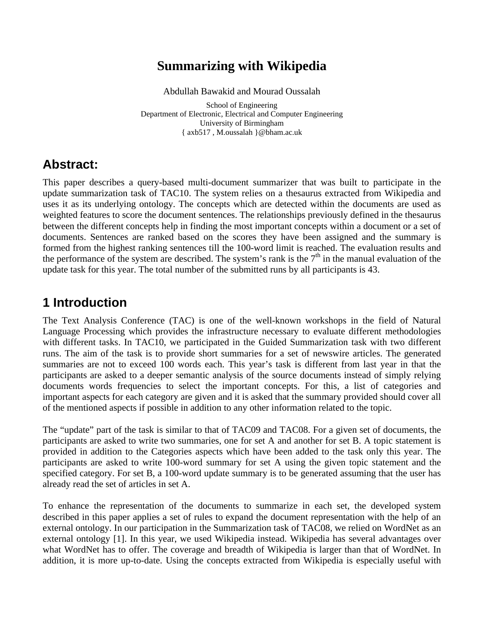# **Summarizing with Wikipedia**

Abdullah Bawakid and Mourad Oussalah

School of Engineering School of Engineering Department of Electronic, Electrical and Computer Engineering University of Birmingham { axb517 , M.oussalah }@bham.ac.uk

### **Abstract:**

This paper describes a query-based multi-document summarizer that was built to participate in the update summarization task of TAC10. The system relies on a thesaurus extracted from Wikipedia and uses it as its underlying ontology. The concepts which are detected within the documents are used as weighted features to score the document sentences. The relationships previously defined in the thesaurus between the different concepts help in finding the most important concepts within a document or a set of documents. Sentences are ranked based on the scores they have been assigned and the summary is formed from the highest ranking sentences till the 100-word limit is reached. The evaluation results and the performance of the system are described. The system's rank is the  $7<sup>th</sup>$  in the manual evaluation of the update task for this year. The total number of the submitted runs by all participants is 43.

## **1 Introduction**

The Text Analysis Conference (TAC) is one of the well-known workshops in the field of Natural Language Processing which provides the infrastructure necessary to evaluate different methodologies with different tasks. In TAC10, we participated in the Guided Summarization task with two different runs. The aim of the task is to provide short summaries for a set of newswire articles. The generated summaries are not to exceed 100 words each. This year's task is different from last year in that the participants are asked to a deeper semantic analysis of the source documents instead of simply relying documents words frequencies to select the important concepts. For this, a list of categories and important aspects for each category are given and it is asked that the summary provided should cover all of the mentioned aspects if possible in addition to any other information related to the topic.

The "update" part of the task is similar to that of TAC09 and TAC08. For a given set of documents, the participants are asked to write two summaries, one for set A and another for set B. A topic statement is provided in addition to the Categories aspects which have been added to the task only this year. The participants are asked to write 100-word summary for set A using the given topic statement and the specified category. For set B, a 100-word update summary is to be generated assuming that the user has already read the set of articles in set A.<br>To enhance the representation of the documents to summarize in each set, the developed system

described in this paper applies a set of rules to expand the document representation with the help of an external ontology. In our participation in the Summarization task of TAC08, we relied on WordNet as an external ontology [1]. In this year, we used Wikipedia instead. Wikipedia has several advantages over what WordNet has to offer. The coverage and breadth of Wikipedia is larger than that of WordNet. In addition, it is more up-to-date. Using the concepts extracted from Wikipedia is especially useful with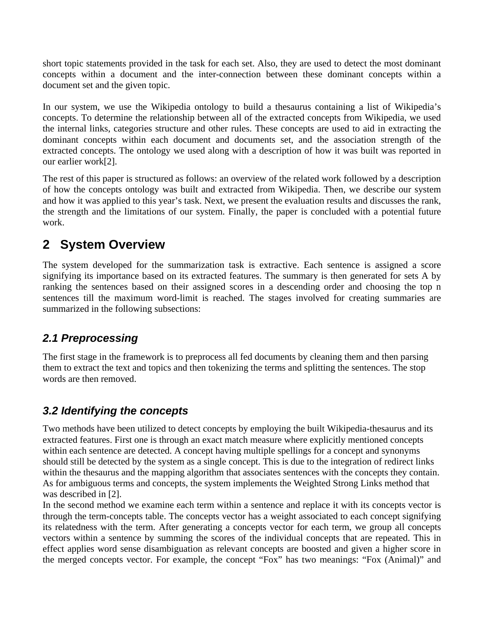short topic statements provided in the task for each set. Also, they are used to detect the most dominant concepts within a document and the inter-connection between these dominant concepts within a document set and the given topic.

In our system, we use the Wikipedia ontology to build a thesaurus containing a list of Wikipedia's concepts. To determine the relationship between all of the extracted concepts from Wikipedia, we used the internal links, categories structure and other rules. These concepts are used to aid in extracting the dominant concepts within each document and documents set, and the association strength of the extracted concepts. The ontology we used along with a description of how it was built was reported in our earlier work[2].

The rest of this paper is structured as follows: an overview of the related work followed by a description of how the concepts ontology was built and extracted from Wikipedia. Then, we describe our system and how it was applied to this year's task. Next, we present the evaluation results and discusses the rank, the strength and the limitations of our system. Finally, the paper is concluded with a potential future work.

## **2 System Overview**

The system developed for the summarization task is extractive. Each sentence is assigned a score signifying its importance based on its extracted features. The summary is then generated for sets A by ranking the sentences based on their assigned scores in a descending order and choosing the top n sentences till the maximum word-limit is reached. The stages involved for creating summaries are summarized in the following subsections:

### **2.1 Preprocessing**

The first stage in the framework is to preprocess all fed documents by cleaning them and then parsing them to extract the text and topics and then tokenizing the terms and splitting the sentences. The stop words are then removed.

### **3.2 Identifying the concepts**

Two methods have been utilized to detect concepts by employing the built Wikipedia-thesaurus and its extracted features. First one is through an exact match measure where explicitly mentioned concepts within each sentence are detected. A concept having multiple spellings for a concept and synonyms should still be detected by the system as a single concept. This is due to the integration of redirect links within the thesaurus and the mapping algorithm that associates sentences with the concepts they contain. As for ambiguous terms and concepts, the system implements the Weighted Strong Links method that was described in [2].

In the second method we examine each term within a sentence and replace it with its concepts vector is through the term-concepts table. The concepts vector has a weight associated to each concept signifying its relatedness with the term. After generating a concepts vector for each term, we group all concepts vectors within a sentence by summing the scores of the individual concepts that are repeated. This in effect applies word sense disambiguation as relevant concepts are boosted and given a higher score in the merged concepts vector. For example, the concept "Fox" has two meanings: "Fox (Animal)" and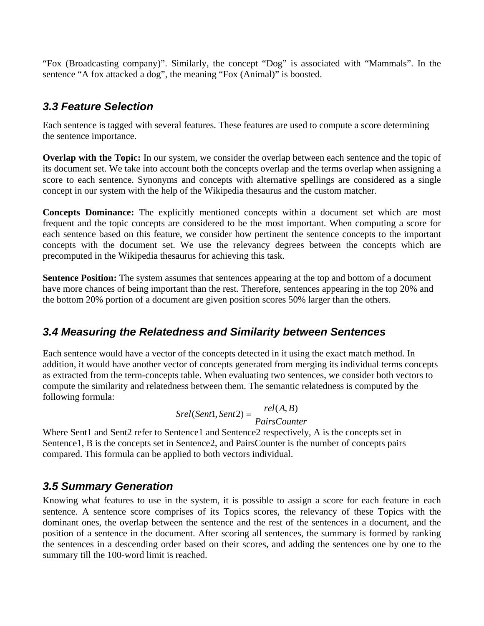"Fox (Broadcasting company)". Similarly, the concept "Dog" is associated with "Mammals". In the sentence "A fox attacked a dog", the meaning "Fox (Animal)" is boosted.

#### **3.3 Feature Selection**

Each sentence is tagged with several features. These features are used to compute a score determining the sentence importance.

**Overlap with the Topic:** In our system, we consider the overlap between each sentence and the topic of its document set. We take into account both the concepts overlap and the terms overlap when assigning a score to each sentence. Synonyms and concepts with alternative spellings are considered as a single concept in our system with the help of the Wikipedia thesaurus and the custom matcher.

**Concepts Dominance:** The explicitly mentioned concepts within a document set which are most frequent and the topic concepts are considered to be the most important. When computing a score for each sentence based on this feature, we consider how pertinent the sentence concepts to the important concepts with the document set. We use the relevancy degrees between the concepts which are precomputed in the Wikipedia thesaurus for achieving this task.

**Sentence Position:** The system assumes that sentences appearing at the top and bottom of a document have more chances of being important than the rest. Therefore, sentences appearing in the top 20% and the bottom 20% portion of a document are given position scores 50% larger than the others.

#### **3.4 Measuring the Relatedness and Similarity between Sentences**

Each sentence would have a vector of the concepts detected in it using the exact match method. In addition, it would have another vector of concepts generated from merging its individual terms concepts as extracted from the term-concepts table. When evaluating two sentences, we consider both vectors to compute the similarity and relatedness between them. The semantic relatedness is computed by the following formula:

$$
Srel(Sent1, Sent2) = \frac{rel(A, B)}{PairsCounter}
$$

Where Sent1 and Sent2 refer to Sentence1 and Sentence2 respectively, A is the concepts set in Sentence1, B is the concepts set in Sentence2, and PairsCounter is the number of concepts pairs compared. This formula can be applied to both vectors individual.

#### **3.5 Summary Generation**

Knowing what features to use in the system, it is possible to assign a score for each feature in each sentence. A sentence score comprises of its Topics scores, the relevancy of these Topics with the dominant ones, the overlap between the sentence and the rest of the sentences in a document, and the position of a sentence in the document. After scoring all sentences, the summary is formed by ranking the sentences in a descending order based on their scores, and adding the sentences one by one to the summary till the 100-word limit is reached.